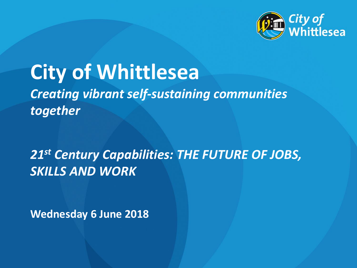

# **City of Whittlesea** *Creating vibrant self-sustaining communities together*

*21st Century Capabilities: THE FUTURE OF JOBS, SKILLS AND WORK*

**Wednesday 6 June 2018**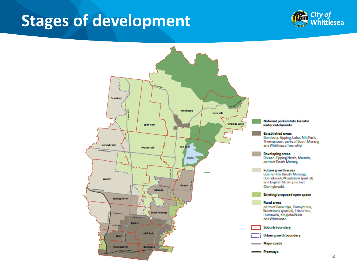#### **Stages of development**



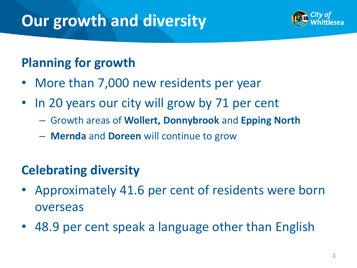## **Our growth and diversity**



#### **Planning for growth**

- More than 7,000 new residents per year
- In 20 years our city will grow by 71 per cent
	- Growth areas of **Wollert, Donnybrook** and **Epping North**
	- **Mernda** and **Doreen** will continue to grow

#### **Celebrating diversity**

- Approximately 41.6 per cent of residents were born overseas
- 48.9 per cent speak a language other than English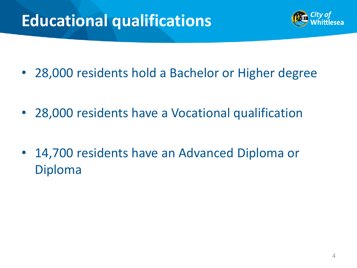# **Educational qualifications**



- 28,000 residents hold a Bachelor or Higher degree
- 28,000 residents have a Vocational qualification
- 14,700 residents have an Advanced Diploma or Diploma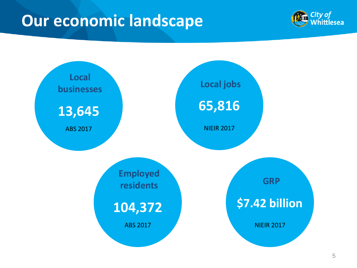## **Our economic landscape**



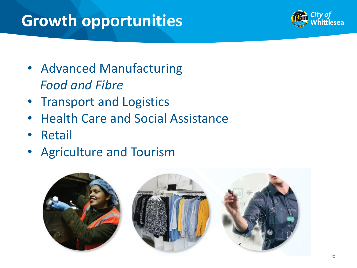# **Growth opportunities**



- Advanced Manufacturing *Food and Fibre*
- Transport and Logistics
- Health Care and Social Assistance
- Retail
- Agriculture and Tourism

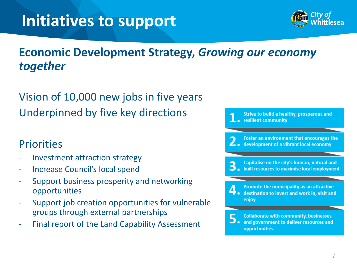## **Initiatives to support**



#### **Economic Development Strategy,** *Growing our economy together*

#### Vision of 10,000 new jobs in five years Underpinned by five key directions

#### **Priorities**

- 
- Increase Council's local spend
- Support business prosperity and networking opportunities
- Support job creation opportunities for vulnerable groups through external partnerships
- Final report of the Land Capability Assessment

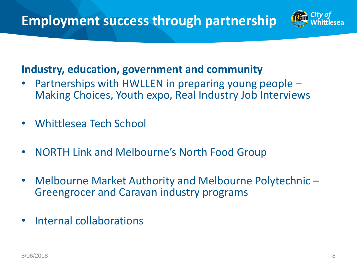

#### **Industry, education, government and community**

- Partnerships with HWLLEN in preparing young people Making Choices, Youth expo, Real Industry Job Interviews
- Whittlesea Tech School
- NORTH Link and Melbourne's North Food Group
- Melbourne Market Authority and Melbourne Polytechnic Greengrocer and Caravan industry programs
- Internal collaborations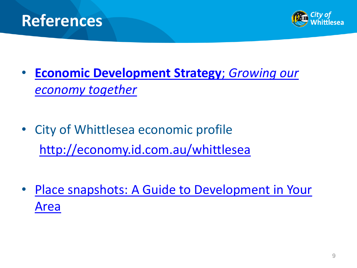



- **[Economic Development Strategy](https://www.whittlesea.vic.gov.au/media/3031/k-partnerships-communications-_public-temp-katrina-eco-dev-economic-development-strategy-designs-final-6-november-economic-development-strategy-non-trims.pdf)**[;](https://www.whittlesea.vic.gov.au/media/3031/k-partnerships-communications-_public-temp-katrina-eco-dev-economic-development-strategy-designs-final-6-november-economic-development-strategy-non-trims.pdf) *[Growing our](https://www.whittlesea.vic.gov.au/media/3031/k-partnerships-communications-_public-temp-katrina-eco-dev-economic-development-strategy-designs-final-6-november-economic-development-strategy-non-trims.pdf)  [economy together](https://www.whittlesea.vic.gov.au/media/3031/k-partnerships-communications-_public-temp-katrina-eco-dev-economic-development-strategy-designs-final-6-november-economic-development-strategy-non-trims.pdf)*
- City of Whittlesea economic profile <http://economy.id.com.au/whittlesea>
- [Place snapshots: A Guide to Development in Your](https://www.whittlesea.vic.gov.au/media/1743/place-snapshots-2016.pdf)  [Area](https://www.whittlesea.vic.gov.au/media/1743/place-snapshots-2016.pdf)